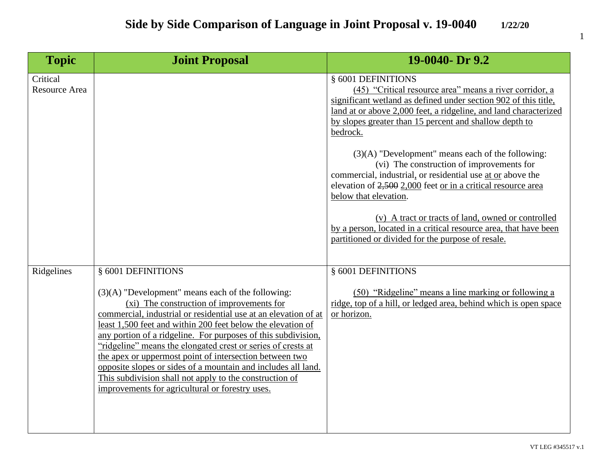| <b>Topic</b>                     | <b>Joint Proposal</b>                                                                                                                                                                                                                                                                                                                                                                                                                                                                                                                                                                                                               | 19-0040- Dr 9.2                                                                                                                                                                                                                                                                            |
|----------------------------------|-------------------------------------------------------------------------------------------------------------------------------------------------------------------------------------------------------------------------------------------------------------------------------------------------------------------------------------------------------------------------------------------------------------------------------------------------------------------------------------------------------------------------------------------------------------------------------------------------------------------------------------|--------------------------------------------------------------------------------------------------------------------------------------------------------------------------------------------------------------------------------------------------------------------------------------------|
| Critical<br><b>Resource Area</b> |                                                                                                                                                                                                                                                                                                                                                                                                                                                                                                                                                                                                                                     | § 6001 DEFINITIONS<br>(45) "Critical resource area" means a river corridor, a<br>significant wetland as defined under section 902 of this title,<br>land at or above 2,000 feet, a ridgeline, and land characterized<br>by slopes greater than 15 percent and shallow depth to<br>bedrock. |
|                                  |                                                                                                                                                                                                                                                                                                                                                                                                                                                                                                                                                                                                                                     | $(3)(A)$ "Development" means each of the following:<br>(vi) The construction of improvements for<br>commercial, industrial, or residential use at or above the<br>elevation of 2,500 2,000 feet or in a critical resource area<br>below that elevation.                                    |
|                                  |                                                                                                                                                                                                                                                                                                                                                                                                                                                                                                                                                                                                                                     | (v) A tract or tracts of land, owned or controlled<br>by a person, located in a critical resource area, that have been<br>partitioned or divided for the purpose of resale.                                                                                                                |
| Ridgelines                       | § 6001 DEFINITIONS<br>$(3)(A)$ "Development" means each of the following:<br>(xi) The construction of improvements for<br>commercial, industrial or residential use at an elevation of at<br>least 1,500 feet and within 200 feet below the elevation of<br>any portion of a ridgeline. For purposes of this subdivision,<br>"ridgeline" means the elongated crest or series of crests at<br>the apex or uppermost point of intersection between two<br>opposite slopes or sides of a mountain and includes all land.<br>This subdivision shall not apply to the construction of<br>improvements for agricultural or forestry uses. | § 6001 DEFINITIONS<br>(50) "Ridgeline" means a line marking or following a<br>ridge, top of a hill, or ledged area, behind which is open space<br>or horizon.                                                                                                                              |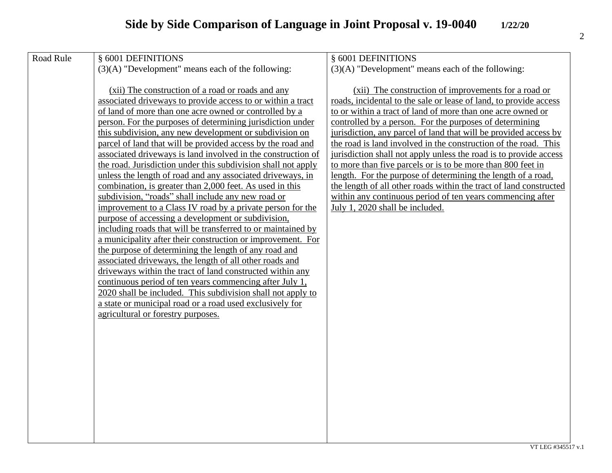| Road Rule | § 6001 DEFINITIONS                                            | § 6001 DEFINITIONS                                                 |
|-----------|---------------------------------------------------------------|--------------------------------------------------------------------|
|           | $(3)(A)$ "Development" means each of the following:           | $(3)(A)$ "Development" means each of the following:                |
|           |                                                               |                                                                    |
|           | (xii) The construction of a road or roads and any             | (xii) The construction of improvements for a road or               |
|           | associated driveways to provide access to or within a tract   | roads, incidental to the sale or lease of land, to provide access  |
|           | of land of more than one acre owned or controlled by a        | to or within a tract of land of more than one acre owned or        |
|           | person. For the purposes of determining jurisdiction under    | controlled by a person. For the purposes of determining            |
|           | this subdivision, any new development or subdivision on       | jurisdiction, any parcel of land that will be provided access by   |
|           | parcel of land that will be provided access by the road and   | the road is land involved in the construction of the road. This    |
|           | associated driveways is land involved in the construction of  | jurisdiction shall not apply unless the road is to provide access  |
|           | the road. Jurisdiction under this subdivision shall not apply | to more than five parcels or is to be more than 800 feet in        |
|           | unless the length of road and any associated driveways, in    | length. For the purpose of determining the length of a road,       |
|           | combination, is greater than 2,000 feet. As used in this      | the length of all other roads within the tract of land constructed |
|           | subdivision, "roads" shall include any new road or            | within any continuous period of ten years commencing after         |
|           | improvement to a Class IV road by a private person for the    | July 1, 2020 shall be included.                                    |
|           | purpose of accessing a development or subdivision,            |                                                                    |
|           | including roads that will be transferred to or maintained by  |                                                                    |
|           | a municipality after their construction or improvement. For   |                                                                    |
|           | the purpose of determining the length of any road and         |                                                                    |
|           | associated driveways, the length of all other roads and       |                                                                    |
|           | driveways within the tract of land constructed within any     |                                                                    |
|           | continuous period of ten years commencing after July 1,       |                                                                    |
|           | 2020 shall be included. This subdivision shall not apply to   |                                                                    |
|           | a state or municipal road or a road used exclusively for      |                                                                    |
|           | agricultural or forestry purposes.                            |                                                                    |
|           |                                                               |                                                                    |
|           |                                                               |                                                                    |
|           |                                                               |                                                                    |
|           |                                                               |                                                                    |
|           |                                                               |                                                                    |
|           |                                                               |                                                                    |
|           |                                                               |                                                                    |
|           |                                                               |                                                                    |
|           |                                                               |                                                                    |
|           |                                                               |                                                                    |
|           |                                                               |                                                                    |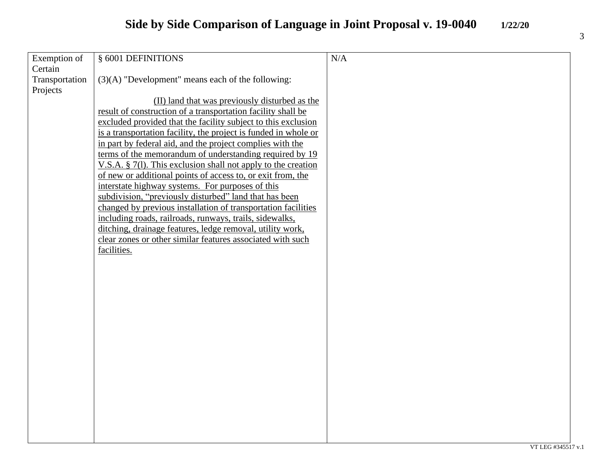## **Side by Side Comparison of Language in Joint Proposal v. 19-0040 1/22/20**

| Exemption of   | § 6001 DEFINITIONS                                               | N/A |
|----------------|------------------------------------------------------------------|-----|
| Certain        |                                                                  |     |
| Transportation | $(3)(A)$ "Development" means each of the following:              |     |
| Projects       |                                                                  |     |
|                | (II) land that was previously disturbed as the                   |     |
|                | result of construction of a transportation facility shall be     |     |
|                | excluded provided that the facility subject to this exclusion    |     |
|                | is a transportation facility, the project is funded in whole or  |     |
|                | in part by federal aid, and the project complies with the        |     |
|                | terms of the memorandum of understanding required by 19          |     |
|                | V.S.A. $\S$ 7(1). This exclusion shall not apply to the creation |     |
|                | of new or additional points of access to, or exit from, the      |     |
|                | interstate highway systems. For purposes of this                 |     |
|                | subdivision, "previously disturbed" land that has been           |     |
|                | changed by previous installation of transportation facilities    |     |
|                | including roads, railroads, runways, trails, sidewalks,          |     |
|                | ditching, drainage features, ledge removal, utility work,        |     |
|                | clear zones or other similar features associated with such       |     |
|                | facilities.                                                      |     |
|                |                                                                  |     |
|                |                                                                  |     |
|                |                                                                  |     |
|                |                                                                  |     |
|                |                                                                  |     |
|                |                                                                  |     |
|                |                                                                  |     |
|                |                                                                  |     |
|                |                                                                  |     |
|                |                                                                  |     |
|                |                                                                  |     |
|                |                                                                  |     |
|                |                                                                  |     |
|                |                                                                  |     |
|                |                                                                  |     |
|                |                                                                  |     |
|                |                                                                  |     |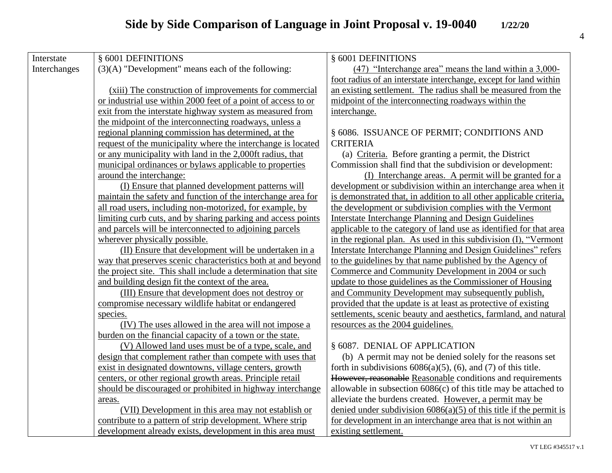## **Side by Side Comparison of Language in Joint Proposal v. 19-0040 1/22/20**

| Interstate   | § 6001 DEFINITIONS                                             | § 6001 DEFINITIONS                                                    |
|--------------|----------------------------------------------------------------|-----------------------------------------------------------------------|
| Interchanges | $(3)(A)$ "Development" means each of the following:            | (47) "Interchange area" means the land within a 3,000-                |
|              |                                                                | foot radius of an interstate interchange, except for land within      |
|              | (xiii) The construction of improvements for commercial         | an existing settlement. The radius shall be measured from the         |
|              | or industrial use within 2000 feet of a point of access to or  | midpoint of the interconnecting roadways within the                   |
|              | exit from the interstate highway system as measured from       | interchange.                                                          |
|              | the midpoint of the interconnecting roadways, unless a         |                                                                       |
|              | regional planning commission has determined, at the            | § 6086. ISSUANCE OF PERMIT; CONDITIONS AND                            |
|              | request of the municipality where the interchange is located   | <b>CRITERIA</b>                                                       |
|              | or any municipality with land in the 2,000ft radius, that      | (a) Criteria. Before granting a permit, the District                  |
|              | municipal ordinances or bylaws applicable to properties        | Commission shall find that the subdivision or development:            |
|              | around the interchange:                                        | (I) Interchange areas. A permit will be granted for a                 |
|              | (I) Ensure that planned development patterns will              | development or subdivision within an interchange area when it         |
|              | maintain the safety and function of the interchange area for   | is demonstrated that, in addition to all other applicable criteria,   |
|              | all road users, including non-motorized, for example, by       | the development or subdivision complies with the Vermont              |
|              | limiting curb cuts, and by sharing parking and access points   | <b>Interstate Interchange Planning and Design Guidelines</b>          |
|              | and parcels will be interconnected to adjoining parcels        | applicable to the category of land use as identified for that area    |
|              | wherever physically possible.                                  | in the regional plan. As used in this subdivision (I), "Vermont       |
|              | (II) Ensure that development will be undertaken in a           | Interstate Interchange Planning and Design Guidelines" refers         |
|              | way that preserves scenic characteristics both at and beyond   | to the guidelines by that name published by the Agency of             |
|              | the project site. This shall include a determination that site | Commerce and Community Development in 2004 or such                    |
|              | and building design fit the context of the area.               | update to those guidelines as the Commissioner of Housing             |
|              | (III) Ensure that development does not destroy or              | and Community Development may subsequently publish,                   |
|              | compromise necessary wildlife habitat or endangered            | provided that the update is at least as protective of existing        |
|              | species.                                                       | settlements, scenic beauty and aesthetics, farmland, and natural      |
|              | (IV) The uses allowed in the area will not impose a            | resources as the 2004 guidelines.                                     |
|              | burden on the financial capacity of a town or the state.       |                                                                       |
|              | (V) Allowed land uses must be of a type, scale, and            | § 6087. DENIAL OF APPLICATION                                         |
|              | design that complement rather than compete with uses that      | (b) A permit may not be denied solely for the reasons set             |
|              | exist in designated downtowns, village centers, growth         | forth in subdivisions $6086(a)(5)$ , $(6)$ , and $(7)$ of this title. |
|              | centers, or other regional growth areas. Principle retail      | However, reasonable Reasonable conditions and requirements            |
|              | should be discouraged or prohibited in highway interchange     | allowable in subsection $6086(c)$ of this title may be attached to    |
|              | areas.                                                         | alleviate the burdens created. However, a permit may be               |
|              | (VII) Development in this area may not establish or            | denied under subdivision $6086(a)(5)$ of this title if the permit is  |
|              | contribute to a pattern of strip development. Where strip      | for development in an interchange area that is not within an          |
|              | development already exists, development in this area must      | existing settlement.                                                  |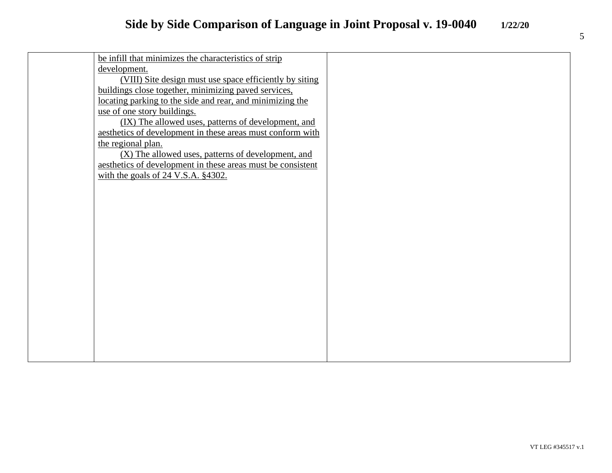| be infill that minimizes the characteristics of strip       |  |
|-------------------------------------------------------------|--|
| development.                                                |  |
| (VIII) Site design must use space efficiently by siting     |  |
| buildings close together, minimizing paved services,        |  |
| locating parking to the side and rear, and minimizing the   |  |
| use of one story buildings.                                 |  |
| (IX) The allowed uses, patterns of development, and         |  |
| aesthetics of development in these areas must conform with  |  |
| the regional plan.                                          |  |
| (X) The allowed uses, patterns of development, and          |  |
| aesthetics of development in these areas must be consistent |  |
| with the goals of $24$ V.S.A. $§4302$ .                     |  |
|                                                             |  |
|                                                             |  |
|                                                             |  |
|                                                             |  |
|                                                             |  |
|                                                             |  |
|                                                             |  |
|                                                             |  |
|                                                             |  |
|                                                             |  |
|                                                             |  |
|                                                             |  |
|                                                             |  |
|                                                             |  |
|                                                             |  |
|                                                             |  |
|                                                             |  |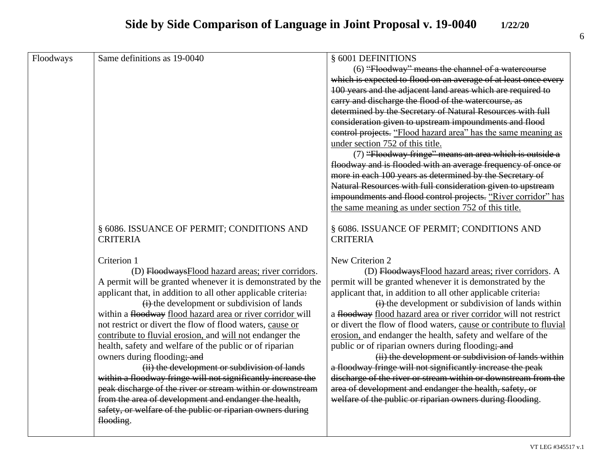## **Side by Side Comparison of Language in Joint Proposal v. 19-0040 1/22/20**

| Floodways | Same definitions as 19-0040                                                                                 | § 6001 DEFINITIONS                                                                                                     |
|-----------|-------------------------------------------------------------------------------------------------------------|------------------------------------------------------------------------------------------------------------------------|
|           |                                                                                                             | (6) "Floodway" means the channel of a watercourse                                                                      |
|           |                                                                                                             | which is expected to flood on an average of at least once every                                                        |
|           |                                                                                                             | 100 years and the adjacent land areas which are required to                                                            |
|           |                                                                                                             | carry and discharge the flood of the watercourse, as                                                                   |
|           |                                                                                                             | determined by the Secretary of Natural Resources with full                                                             |
|           |                                                                                                             | consideration given to upstream impoundments and flood                                                                 |
|           |                                                                                                             | control projects. "Flood hazard area" has the same meaning as                                                          |
|           |                                                                                                             | under section 752 of this title.                                                                                       |
|           |                                                                                                             | (7) "Floodway fringe" means an area which is outside a                                                                 |
|           |                                                                                                             | floodway and is flooded with an average frequency of once or                                                           |
|           |                                                                                                             | more in each 100 years as determined by the Secretary of                                                               |
|           |                                                                                                             | Natural Resources with full consideration given to upstream                                                            |
|           |                                                                                                             | impoundments and flood control projects. "River corridor" has                                                          |
|           |                                                                                                             | the same meaning as under section 752 of this title.                                                                   |
|           |                                                                                                             |                                                                                                                        |
|           | § 6086. ISSUANCE OF PERMIT; CONDITIONS AND                                                                  | § 6086. ISSUANCE OF PERMIT; CONDITIONS AND                                                                             |
|           | <b>CRITERIA</b>                                                                                             | <b>CRITERIA</b>                                                                                                        |
|           |                                                                                                             |                                                                                                                        |
|           | Criterion 1                                                                                                 | New Criterion 2                                                                                                        |
|           | (D) FloodwaysFlood hazard areas; river corridors.                                                           | (D) FloodwaysFlood hazard areas; river corridors. A                                                                    |
|           | A permit will be granted whenever it is demonstrated by the                                                 | permit will be granted whenever it is demonstrated by the                                                              |
|           | applicant that, in addition to all other applicable criteria:                                               | applicant that, in addition to all other applicable criteria:                                                          |
|           | $(i)$ the development or subdivision of lands<br>within a floodway flood hazard area or river corridor will | (i) the development or subdivision of lands within<br>a floodway flood hazard area or river corridor will not restrict |
|           | not restrict or divert the flow of flood waters, cause or                                                   | or divert the flow of flood waters, cause or contribute to fluvial                                                     |
|           | contribute to fluvial erosion, and will not endanger the                                                    | erosion, and endanger the health, safety and welfare of the                                                            |
|           | health, safety and welfare of the public or of riparian                                                     | public or of riparian owners during flooding; and                                                                      |
|           | owners during flooding; and                                                                                 | (ii) the development or subdivision of lands within                                                                    |
|           | (ii) the development or subdivision of lands                                                                | a floodway fringe will not significantly increase the peak                                                             |
|           | within a floodway fringe will not significantly increase the                                                | discharge of the river or stream within or downstream from the                                                         |
|           | peak discharge of the river or stream within or downstream                                                  | area of development and endanger the health, safety, or                                                                |
|           | from the area of development and endanger the health,                                                       | welfare of the public or riparian owners during flooding.                                                              |
|           | safety, or welfare of the public or riparian owners during                                                  |                                                                                                                        |
|           | flooding.                                                                                                   |                                                                                                                        |
|           |                                                                                                             |                                                                                                                        |
|           |                                                                                                             |                                                                                                                        |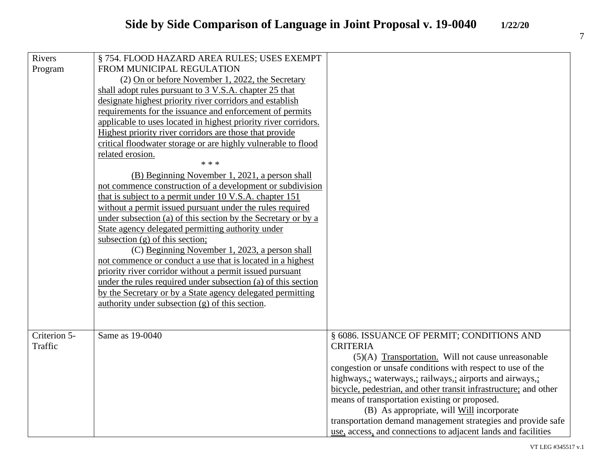| Rivers       | § 754. FLOOD HAZARD AREA RULES; USES EXEMPT                     |                                                                  |
|--------------|-----------------------------------------------------------------|------------------------------------------------------------------|
| Program      | FROM MUNICIPAL REGULATION                                       |                                                                  |
|              | (2) On or before November 1, 2022, the Secretary                |                                                                  |
|              | shall adopt rules pursuant to 3 V.S.A. chapter 25 that          |                                                                  |
|              | designate highest priority river corridors and establish        |                                                                  |
|              | requirements for the issuance and enforcement of permits        |                                                                  |
|              | applicable to uses located in highest priority river corridors. |                                                                  |
|              | Highest priority river corridors are those that provide         |                                                                  |
|              | critical floodwater storage or are highly vulnerable to flood   |                                                                  |
|              | related erosion.                                                |                                                                  |
|              | * * *                                                           |                                                                  |
|              | (B) Beginning November 1, 2021, a person shall                  |                                                                  |
|              | not commence construction of a development or subdivision       |                                                                  |
|              | that is subject to a permit under 10 V.S.A. chapter 151         |                                                                  |
|              | without a permit issued pursuant under the rules required       |                                                                  |
|              | under subsection (a) of this section by the Secretary or by a   |                                                                  |
|              | State agency delegated permitting authority under               |                                                                  |
|              | subsection $(g)$ of this section;                               |                                                                  |
|              | (C) Beginning November 1, 2023, a person shall                  |                                                                  |
|              | not commence or conduct a use that is located in a highest      |                                                                  |
|              | priority river corridor without a permit issued pursuant        |                                                                  |
|              | under the rules required under subsection (a) of this section   |                                                                  |
|              | by the Secretary or by a State agency delegated permitting      |                                                                  |
|              | authority under subsection $(g)$ of this section.               |                                                                  |
|              |                                                                 |                                                                  |
|              |                                                                 |                                                                  |
| Criterion 5- | Same as 19-0040                                                 | § 6086. ISSUANCE OF PERMIT; CONDITIONS AND                       |
| Traffic      |                                                                 | <b>CRITERIA</b>                                                  |
|              |                                                                 | $(5)(A)$ Transportation. Will not cause unreasonable             |
|              |                                                                 | congestion or unsafe conditions with respect to use of the       |
|              |                                                                 | highways,; waterways,; railways,; airports and airways,;         |
|              |                                                                 | bicycle, pedestrian, and other transit infrastructure; and other |
|              |                                                                 | means of transportation existing or proposed.                    |
|              |                                                                 | (B) As appropriate, will Will incorporate                        |
|              |                                                                 | transportation demand management strategies and provide safe     |
|              |                                                                 | use, access, and connections to adjacent lands and facilities    |

VT LEG #345517 v.1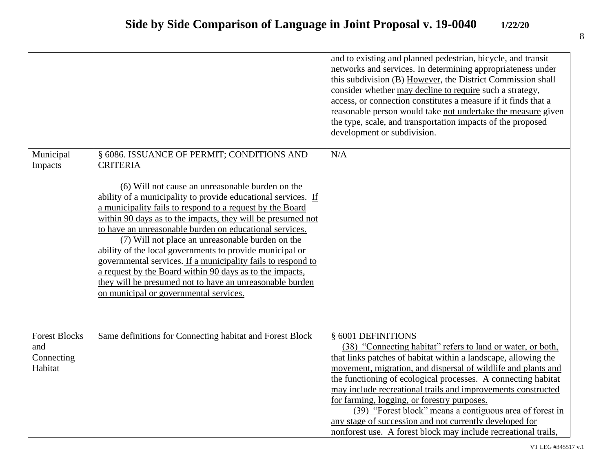|                             |                                                                                                                                                                                                                                                                                                                                                                                                                                                                                                                                                                                                                                                            | and to existing and planned pedestrian, bicycle, and transit<br>networks and services. In determining appropriateness under<br>this subdivision (B) However, the District Commission shall<br>consider whether may decline to require such a strategy,<br>access, or connection constitutes a measure if it finds that a<br>reasonable person would take not undertake the measure given<br>the type, scale, and transportation impacts of the proposed<br>development or subdivision. |
|-----------------------------|------------------------------------------------------------------------------------------------------------------------------------------------------------------------------------------------------------------------------------------------------------------------------------------------------------------------------------------------------------------------------------------------------------------------------------------------------------------------------------------------------------------------------------------------------------------------------------------------------------------------------------------------------------|----------------------------------------------------------------------------------------------------------------------------------------------------------------------------------------------------------------------------------------------------------------------------------------------------------------------------------------------------------------------------------------------------------------------------------------------------------------------------------------|
| Municipal                   | § 6086. ISSUANCE OF PERMIT; CONDITIONS AND                                                                                                                                                                                                                                                                                                                                                                                                                                                                                                                                                                                                                 | N/A                                                                                                                                                                                                                                                                                                                                                                                                                                                                                    |
| Impacts                     | <b>CRITERIA</b>                                                                                                                                                                                                                                                                                                                                                                                                                                                                                                                                                                                                                                            |                                                                                                                                                                                                                                                                                                                                                                                                                                                                                        |
|                             | (6) Will not cause an unreasonable burden on the<br>ability of a municipality to provide educational services. If<br>a municipality fails to respond to a request by the Board<br>within 90 days as to the impacts, they will be presumed not<br>to have an unreasonable burden on educational services.<br>(7) Will not place an unreasonable burden on the<br>ability of the local governments to provide municipal or<br>governmental services. If a municipality fails to respond to<br>a request by the Board within 90 days as to the impacts,<br>they will be presumed not to have an unreasonable burden<br>on municipal or governmental services. |                                                                                                                                                                                                                                                                                                                                                                                                                                                                                        |
| <b>Forest Blocks</b><br>and | Same definitions for Connecting habitat and Forest Block                                                                                                                                                                                                                                                                                                                                                                                                                                                                                                                                                                                                   | § 6001 DEFINITIONS<br>(38) "Connecting habitat" refers to land or water, or both,                                                                                                                                                                                                                                                                                                                                                                                                      |
| Connecting                  |                                                                                                                                                                                                                                                                                                                                                                                                                                                                                                                                                                                                                                                            | that links patches of habitat within a landscape, allowing the                                                                                                                                                                                                                                                                                                                                                                                                                         |
| Habitat                     |                                                                                                                                                                                                                                                                                                                                                                                                                                                                                                                                                                                                                                                            | movement, migration, and dispersal of wildlife and plants and                                                                                                                                                                                                                                                                                                                                                                                                                          |
|                             |                                                                                                                                                                                                                                                                                                                                                                                                                                                                                                                                                                                                                                                            | the functioning of ecological processes. A connecting habitat                                                                                                                                                                                                                                                                                                                                                                                                                          |
|                             |                                                                                                                                                                                                                                                                                                                                                                                                                                                                                                                                                                                                                                                            | may include recreational trails and improvements constructed                                                                                                                                                                                                                                                                                                                                                                                                                           |
|                             |                                                                                                                                                                                                                                                                                                                                                                                                                                                                                                                                                                                                                                                            | for farming, logging, or forestry purposes.                                                                                                                                                                                                                                                                                                                                                                                                                                            |
|                             |                                                                                                                                                                                                                                                                                                                                                                                                                                                                                                                                                                                                                                                            | (39) "Forest block" means a contiguous area of forest in                                                                                                                                                                                                                                                                                                                                                                                                                               |
|                             |                                                                                                                                                                                                                                                                                                                                                                                                                                                                                                                                                                                                                                                            | any stage of succession and not currently developed for<br>nonforest use. A forest block may include recreational trails,                                                                                                                                                                                                                                                                                                                                                              |
|                             |                                                                                                                                                                                                                                                                                                                                                                                                                                                                                                                                                                                                                                                            |                                                                                                                                                                                                                                                                                                                                                                                                                                                                                        |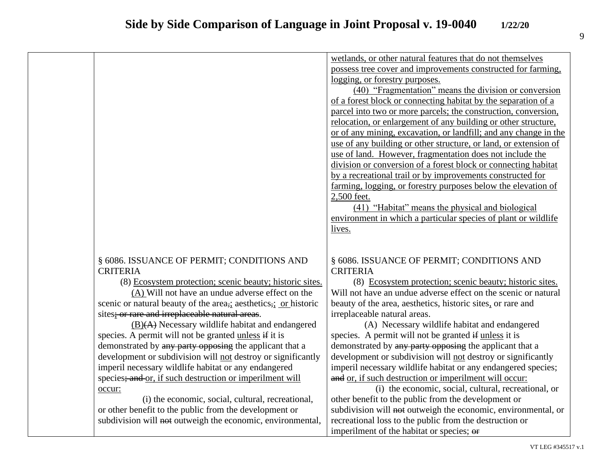|                                                               | wetlands, or other natural features that do not themselves       |
|---------------------------------------------------------------|------------------------------------------------------------------|
|                                                               | possess tree cover and improvements constructed for farming,     |
|                                                               | logging, or forestry purposes.                                   |
|                                                               | (40) "Fragmentation" means the division or conversion            |
|                                                               | of a forest block or connecting habitat by the separation of a   |
|                                                               | parcel into two or more parcels; the construction, conversion,   |
|                                                               | relocation, or enlargement of any building or other structure,   |
|                                                               | or of any mining, excavation, or landfill; and any change in the |
|                                                               | use of any building or other structure, or land, or extension of |
|                                                               | use of land. However, fragmentation does not include the         |
|                                                               | division or conversion of a forest block or connecting habitat   |
|                                                               | by a recreational trail or by improvements constructed for       |
|                                                               | farming, logging, or forestry purposes below the elevation of    |
|                                                               | 2,500 feet.                                                      |
|                                                               | (41) "Habitat" means the physical and biological                 |
|                                                               | environment in which a particular species of plant or wildlife   |
|                                                               | lives.                                                           |
|                                                               |                                                                  |
|                                                               |                                                                  |
| § 6086. ISSUANCE OF PERMIT; CONDITIONS AND                    | § 6086. ISSUANCE OF PERMIT; CONDITIONS AND                       |
| <b>CRITERIA</b>                                               | <b>CRITERIA</b>                                                  |
| (8) Ecosystem protection; scenic beauty; historic sites.      | (8) Ecosystem protection; scenic beauty; historic sites.         |
| (A) Will not have an undue adverse effect on the              | Will not have an undue adverse effect on the scenic or natural   |
| scenic or natural beauty of the area, aesthetics, or historic | beauty of the area, aesthetics, historic sites, or rare and      |
| sites; or rare and irreplaceable natural areas.               | irreplaceable natural areas.                                     |
| $(B)(A)$ Necessary wildlife habitat and endangered            | (A) Necessary wildlife habitat and endangered                    |
| species. A permit will not be granted unless if it is         | species. A permit will not be granted if unless it is            |
| demonstrated by any party opposing the applicant that a       | demonstrated by any party opposing the applicant that a          |
| development or subdivision will not destroy or significantly  | development or subdivision will not destroy or significantly     |
| imperil necessary wildlife habitat or any endangered          | imperil necessary wildlife habitat or any endangered species;    |
| species; and or, if such destruction or imperilment will      | and or, if such destruction or imperilment will occur:           |
| occur:                                                        | (i) the economic, social, cultural, recreational, or             |
| (i) the economic, social, cultural, recreational,             | other benefit to the public from the development or              |
| or other benefit to the public from the development or        | subdivision will not outweigh the economic, environmental, or    |
| subdivision will not outweigh the economic, environmental,    | recreational loss to the public from the destruction or          |
|                                                               | imperilment of the habitat or species; or                        |
|                                                               |                                                                  |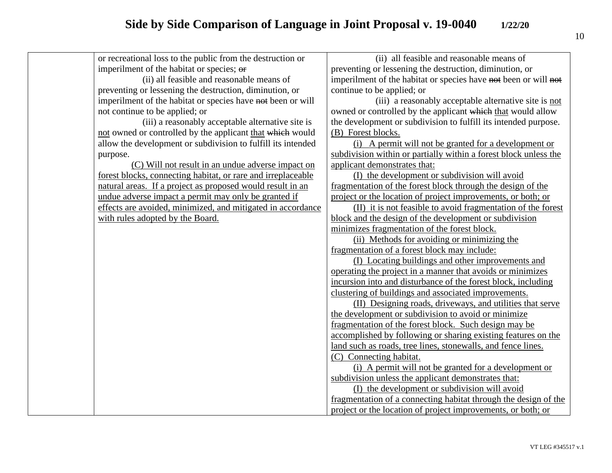| or recreational loss to the public from the destruction or   | (ii) all feasible and reasonable means of                        |
|--------------------------------------------------------------|------------------------------------------------------------------|
| imperilment of the habitat or species; or                    | preventing or lessening the destruction, diminution, or          |
| (ii) all feasible and reasonable means of                    | imperilment of the habitat or species have not been or will not  |
| preventing or lessening the destruction, diminution, or      | continue to be applied; or                                       |
| imperilment of the habitat or species have not been or will  | (iii) a reasonably acceptable alternative site is not            |
| not continue to be applied; or                               | owned or controlled by the applicant which that would allow      |
| (iii) a reasonably acceptable alternative site is            | the development or subdivision to fulfill its intended purpose.  |
| not owned or controlled by the applicant that which would    | (B) Forest blocks.                                               |
| allow the development or subdivision to fulfill its intended | (i) A permit will not be granted for a development or            |
| purpose.                                                     | subdivision within or partially within a forest block unless the |
| (C) Will not result in an undue adverse impact on            | applicant demonstrates that:                                     |
| forest blocks, connecting habitat, or rare and irreplaceable | (I) the development or subdivision will avoid                    |
| natural areas. If a project as proposed would result in an   | fragmentation of the forest block through the design of the      |
| undue adverse impact a permit may only be granted if         | project or the location of project improvements, or both; or     |
| effects are avoided, minimized, and mitigated in accordance  | (II) it is not feasible to avoid fragmentation of the forest     |
| with rules adopted by the Board.                             | block and the design of the development or subdivision           |
|                                                              | minimizes fragmentation of the forest block.                     |
|                                                              | (ii) Methods for avoiding or minimizing the                      |
|                                                              | fragmentation of a forest block may include:                     |
|                                                              | (I) Locating buildings and other improvements and                |
|                                                              | operating the project in a manner that avoids or minimizes       |
|                                                              | incursion into and disturbance of the forest block, including    |
|                                                              | clustering of buildings and associated improvements.             |
|                                                              | (II) Designing roads, driveways, and utilities that serve        |
|                                                              | the development or subdivision to avoid or minimize              |
|                                                              | fragmentation of the forest block. Such design may be            |
|                                                              | accomplished by following or sharing existing features on the    |
|                                                              | land such as roads, tree lines, stonewalls, and fence lines.     |
|                                                              | (C) Connecting habitat.                                          |
|                                                              | (i) A permit will not be granted for a development or            |
|                                                              | subdivision unless the applicant demonstrates that:              |
|                                                              | (I) the development or subdivision will avoid                    |
|                                                              | fragmentation of a connecting habitat through the design of the  |
|                                                              | project or the location of project improvements, or both; or     |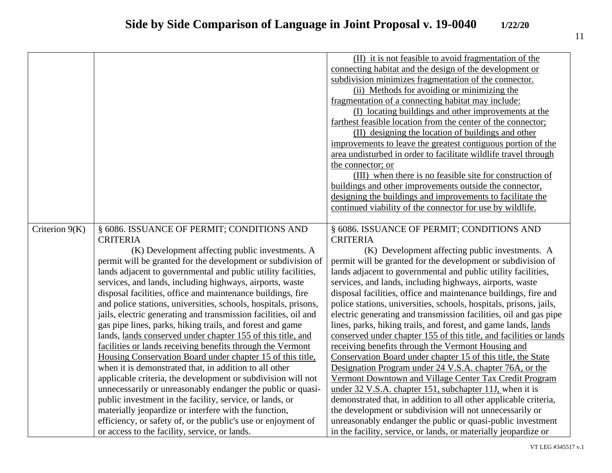|                  |                                                                 | (II) it is not feasible to avoid fragmentation of the              |
|------------------|-----------------------------------------------------------------|--------------------------------------------------------------------|
|                  |                                                                 | connecting habitat and the design of the development or            |
|                  |                                                                 | subdivision minimizes fragmentation of the connector.              |
|                  |                                                                 | (ii) Methods for avoiding or minimizing the                        |
|                  |                                                                 | fragmentation of a connecting habitat may include:                 |
|                  |                                                                 | (I) locating buildings and other improvements at the               |
|                  |                                                                 | farthest feasible location from the center of the connector;       |
|                  |                                                                 | (II) designing the location of buildings and other                 |
|                  |                                                                 | improvements to leave the greatest contiguous portion of the       |
|                  |                                                                 | area undisturbed in order to facilitate wildlife travel through    |
|                  |                                                                 | the connector; or                                                  |
|                  |                                                                 | (III) when there is no feasible site for construction of           |
|                  |                                                                 | buildings and other improvements outside the connector,            |
|                  |                                                                 | designing the buildings and improvements to facilitate the         |
|                  |                                                                 |                                                                    |
|                  |                                                                 | continued viability of the connector for use by wildlife.          |
|                  | § 6086. ISSUANCE OF PERMIT; CONDITIONS AND                      | § 6086. ISSUANCE OF PERMIT; CONDITIONS AND                         |
| Criterion $9(K)$ | <b>CRITERIA</b>                                                 | <b>CRITERIA</b>                                                    |
|                  |                                                                 |                                                                    |
|                  | (K) Development affecting public investments. A                 | (K) Development affecting public investments. A                    |
|                  | permit will be granted for the development or subdivision of    | permit will be granted for the development or subdivision of       |
|                  | lands adjacent to governmental and public utility facilities,   | lands adjacent to governmental and public utility facilities,      |
|                  | services, and lands, including highways, airports, waste        | services, and lands, including highways, airports, waste           |
|                  | disposal facilities, office and maintenance buildings, fire     | disposal facilities, office and maintenance buildings, fire and    |
|                  | and police stations, universities, schools, hospitals, prisons, | police stations, universities, schools, hospitals, prisons, jails, |
|                  | jails, electric generating and transmission facilities, oil and | electric generating and transmission facilities, oil and gas pipe  |
|                  | gas pipe lines, parks, hiking trails, and forest and game       | lines, parks, hiking trails, and forest, and game lands, lands     |
|                  | lands, lands conserved under chapter 155 of this title, and     | conserved under chapter 155 of this title, and facilities or lands |
|                  | facilities or lands receiving benefits through the Vermont      | receiving benefits through the Vermont Housing and                 |
|                  | Housing Conservation Board under chapter 15 of this title,      | Conservation Board under chapter 15 of this title, the State       |
|                  | when it is demonstrated that, in addition to all other          | Designation Program under 24 V.S.A. chapter 76A, or the            |
|                  | applicable criteria, the development or subdivision will not    | Vermont Downtown and Village Center Tax Credit Program             |
|                  | unnecessarily or unreasonably endanger the public or quasi-     | under 32 V.S.A. chapter 151, subchapter 11J, when it is            |
|                  | public investment in the facility, service, or lands, or        | demonstrated that, in addition to all other applicable criteria,   |
|                  | materially jeopardize or interfere with the function,           | the development or subdivision will not unnecessarily or           |
|                  | efficiency, or safety of, or the public's use or enjoyment of   | unreasonably endanger the public or quasi-public investment        |
|                  | or access to the facility, service, or lands.                   | in the facility, service, or lands, or materially jeopardize or    |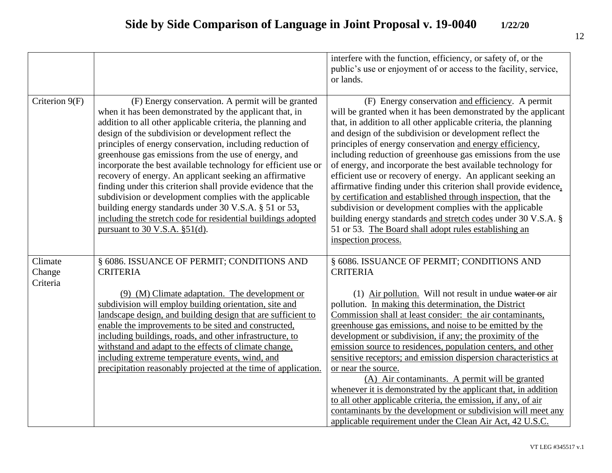|                               |                                                                                                                                                                                                                                                                                                                                                                                                                                                                                                                                                                                                                                                                                                                                                                                | interfere with the function, efficiency, or safety of, or the<br>public's use or enjoyment of or access to the facility, service,<br>or lands.                                                                                                                                                                                                                                                                                                                                                                                                                                                                                                                                                                                                                                                                                                                  |
|-------------------------------|--------------------------------------------------------------------------------------------------------------------------------------------------------------------------------------------------------------------------------------------------------------------------------------------------------------------------------------------------------------------------------------------------------------------------------------------------------------------------------------------------------------------------------------------------------------------------------------------------------------------------------------------------------------------------------------------------------------------------------------------------------------------------------|-----------------------------------------------------------------------------------------------------------------------------------------------------------------------------------------------------------------------------------------------------------------------------------------------------------------------------------------------------------------------------------------------------------------------------------------------------------------------------------------------------------------------------------------------------------------------------------------------------------------------------------------------------------------------------------------------------------------------------------------------------------------------------------------------------------------------------------------------------------------|
| Criterion 9(F)                | (F) Energy conservation. A permit will be granted<br>when it has been demonstrated by the applicant that, in<br>addition to all other applicable criteria, the planning and<br>design of the subdivision or development reflect the<br>principles of energy conservation, including reduction of<br>greenhouse gas emissions from the use of energy, and<br>incorporate the best available technology for efficient use or<br>recovery of energy. An applicant seeking an affirmative<br>finding under this criterion shall provide evidence that the<br>subdivision or development complies with the applicable<br>building energy standards under 30 V.S.A. § 51 or 53.<br>including the stretch code for residential buildings adopted<br>pursuant to 30 V.S.A. $\S51(d)$ . | (F) Energy conservation and efficiency. A permit<br>will be granted when it has been demonstrated by the applicant<br>that, in addition to all other applicable criteria, the planning<br>and design of the subdivision or development reflect the<br>principles of energy conservation and energy efficiency,<br>including reduction of greenhouse gas emissions from the use<br>of energy, and incorporate the best available technology for<br>efficient use or recovery of energy. An applicant seeking an<br>affirmative finding under this criterion shall provide evidence,<br>by certification and established through inspection, that the<br>subdivision or development complies with the applicable<br>building energy standards and stretch codes under 30 V.S.A. §<br>51 or 53. The Board shall adopt rules establishing an<br>inspection process. |
| Climate<br>Change<br>Criteria | § 6086. ISSUANCE OF PERMIT; CONDITIONS AND<br><b>CRITERIA</b>                                                                                                                                                                                                                                                                                                                                                                                                                                                                                                                                                                                                                                                                                                                  | § 6086. ISSUANCE OF PERMIT; CONDITIONS AND<br><b>CRITERIA</b>                                                                                                                                                                                                                                                                                                                                                                                                                                                                                                                                                                                                                                                                                                                                                                                                   |
|                               | (9) (M) Climate adaptation. The development or<br>subdivision will employ building orientation, site and<br>landscape design, and building design that are sufficient to<br>enable the improvements to be sited and constructed,<br>including buildings, roads, and other infrastructure, to<br>withstand and adapt to the effects of climate change,<br>including extreme temperature events, wind, and<br>precipitation reasonably projected at the time of application.                                                                                                                                                                                                                                                                                                     | (1) Air pollution. Will not result in undue water or air<br>pollution. In making this determination, the District<br>Commission shall at least consider: the air contaminants,<br>greenhouse gas emissions, and noise to be emitted by the<br>development or subdivision, if any; the proximity of the<br>emission source to residences, population centers, and other<br>sensitive receptors; and emission dispersion characteristics at<br>or near the source.<br>(A) Air contaminants. A permit will be granted<br>whenever it is demonstrated by the applicant that, in addition<br>to all other applicable criteria, the emission, if any, of air<br>contaminants by the development or subdivision will meet any<br>applicable requirement under the Clean Air Act, 42 U.S.C.                                                                             |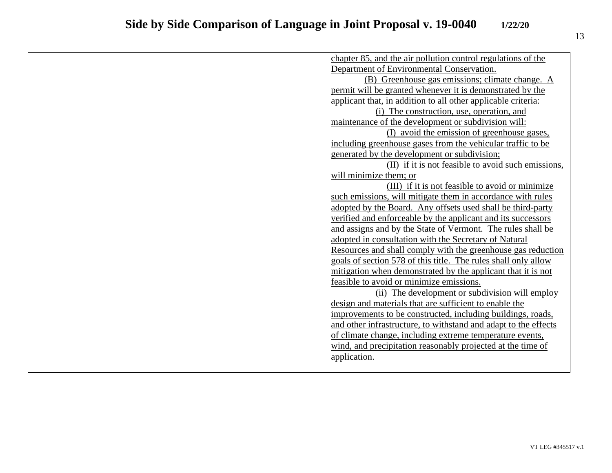|  | chapter 85, and the air pollution control regulations of the    |
|--|-----------------------------------------------------------------|
|  | Department of Environmental Conservation.                       |
|  | (B) Greenhouse gas emissions; climate change. A                 |
|  | permit will be granted whenever it is demonstrated by the       |
|  | applicant that, in addition to all other applicable criteria:   |
|  | (i) The construction, use, operation, and                       |
|  | maintenance of the development or subdivision will:             |
|  | (I) avoid the emission of greenhouse gases,                     |
|  | including greenhouse gases from the vehicular traffic to be     |
|  | generated by the development or subdivision;                    |
|  | (II) if it is not feasible to avoid such emissions,             |
|  | will minimize them; or                                          |
|  | (III) if it is not feasible to avoid or minimize                |
|  | such emissions, will mitigate them in accordance with rules     |
|  | adopted by the Board. Any offsets used shall be third-party     |
|  | verified and enforceable by the applicant and its successors    |
|  | and assigns and by the State of Vermont. The rules shall be     |
|  | adopted in consultation with the Secretary of Natural           |
|  | Resources and shall comply with the greenhouse gas reduction    |
|  | goals of section 578 of this title. The rules shall only allow  |
|  | mitigation when demonstrated by the applicant that it is not    |
|  | feasible to avoid or minimize emissions.                        |
|  | (ii) The development or subdivision will employ                 |
|  | design and materials that are sufficient to enable the          |
|  | improvements to be constructed, including buildings, roads,     |
|  | and other infrastructure, to withstand and adapt to the effects |
|  | of climate change, including extreme temperature events,        |
|  | wind, and precipitation reasonably projected at the time of     |
|  | application.                                                    |
|  |                                                                 |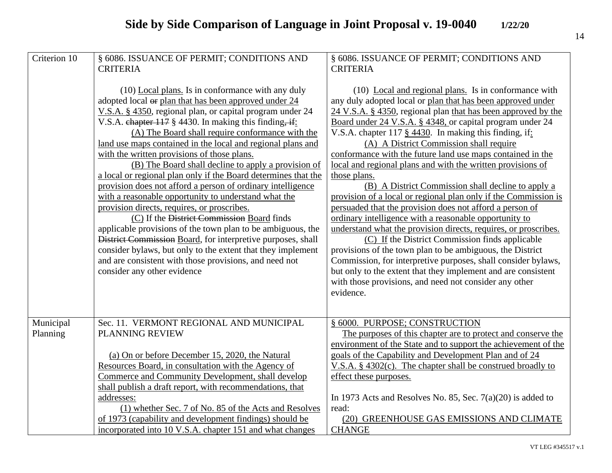| Criterion 10 | § 6086. ISSUANCE OF PERMIT; CONDITIONS AND                        | § 6086. ISSUANCE OF PERMIT; CONDITIONS AND                      |
|--------------|-------------------------------------------------------------------|-----------------------------------------------------------------|
|              | <b>CRITERIA</b>                                                   | <b>CRITERIA</b>                                                 |
|              |                                                                   |                                                                 |
|              | $(10)$ Local plans. Is in conformance with any duly               | (10) Local and regional plans. Is in conformance with           |
|              | adopted local or plan that has been approved under 24             | any duly adopted local or plan that has been approved under     |
|              | V.S.A. § 4350, regional plan, or capital program under 24         | 24 V.S.A. § 4350, regional plan that has been approved by the   |
|              | V.S.A. chapter $117 \text{ }$ § 4430. In making this finding, if: | Board under 24 V.S.A. § 4348, or capital program under 24       |
|              | (A) The Board shall require conformance with the                  | V.S.A. chapter 117 § $4430$ . In making this finding, if:       |
|              | land use maps contained in the local and regional plans and       | (A) A District Commission shall require                         |
|              | with the written provisions of those plans.                       | conformance with the future land use maps contained in the      |
|              | (B) The Board shall decline to apply a provision of               | local and regional plans and with the written provisions of     |
|              | a local or regional plan only if the Board determines that the    | those plans.                                                    |
|              | provision does not afford a person of ordinary intelligence       | (B) A District Commission shall decline to apply a              |
|              | with a reasonable opportunity to understand what the              | provision of a local or regional plan only if the Commission is |
|              | provision directs, requires, or proscribes.                       | persuaded that the provision does not afford a person of        |
|              | (C) If the District Commission Board finds                        | ordinary intelligence with a reasonable opportunity to          |
|              | applicable provisions of the town plan to be ambiguous, the       | understand what the provision directs, requires, or proscribes. |
|              | District Commission Board, for interpretive purposes, shall       | (C) If the District Commission finds applicable                 |
|              | consider bylaws, but only to the extent that they implement       | provisions of the town plan to be ambiguous, the District       |
|              | and are consistent with those provisions, and need not            | Commission, for interpretive purposes, shall consider bylaws,   |
|              | consider any other evidence                                       | but only to the extent that they implement and are consistent   |
|              |                                                                   | with those provisions, and need not consider any other          |
|              |                                                                   | evidence.                                                       |
|              |                                                                   |                                                                 |
|              |                                                                   |                                                                 |
| Municipal    | Sec. 11. VERMONT REGIONAL AND MUNICIPAL                           | § 6000. PURPOSE; CONSTRUCTION                                   |
| Planning     | PLANNING REVIEW                                                   | The purposes of this chapter are to protect and conserve the    |
|              |                                                                   | environment of the State and to support the achievement of the  |
|              | (a) On or before December 15, 2020, the Natural                   | goals of the Capability and Development Plan and of 24          |
|              | Resources Board, in consultation with the Agency of               | V.S.A. $\S$ 4302(c). The chapter shall be construed broadly to  |
|              | Commerce and Community Development, shall develop                 | effect these purposes.                                          |
|              | shall publish a draft report, with recommendations, that          |                                                                 |
|              | addresses:                                                        | In 1973 Acts and Resolves No. 85, Sec. $7(a)(20)$ is added to   |
|              | (1) whether Sec. 7 of No. 85 of the Acts and Resolves             | read:                                                           |
|              | of 1973 (capability and development findings) should be           | (20) GREENHOUSE GAS EMISSIONS AND CLIMATE                       |
|              | incorporated into 10 V.S.A. chapter 151 and what changes          | <b>CHANGE</b>                                                   |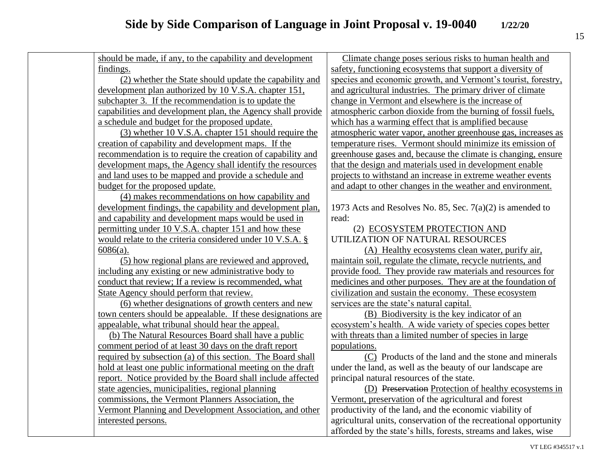| should be made, if any, to the capability and development    | Climate change poses serious risks to human health and           |
|--------------------------------------------------------------|------------------------------------------------------------------|
| findings.                                                    | safety, functioning ecosystems that support a diversity of       |
| (2) whether the State should update the capability and       | species and economic growth, and Vermont's tourist, forestry,    |
| development plan authorized by 10 V.S.A. chapter 151,        | and agricultural industries. The primary driver of climate       |
| subchapter 3. If the recommendation is to update the         | change in Vermont and elsewhere is the increase of               |
| capabilities and development plan, the Agency shall provide  | atmospheric carbon dioxide from the burning of fossil fuels,     |
| a schedule and budget for the proposed update.               | which has a warming effect that is amplified because             |
| (3) whether 10 V.S.A. chapter 151 should require the         | atmospheric water vapor, another greenhouse gas, increases as    |
| creation of capability and development maps. If the          | temperature rises. Vermont should minimize its emission of       |
| recommendation is to require the creation of capability and  | greenhouse gases and, because the climate is changing, ensure    |
| development maps, the Agency shall identify the resources    | that the design and materials used in development enable         |
| and land uses to be mapped and provide a schedule and        | projects to withstand an increase in extreme weather events      |
| budget for the proposed update.                              | and adapt to other changes in the weather and environment.       |
| (4) makes recommendations on how capability and              |                                                                  |
| development findings, the capability and development plan,   | 1973 Acts and Resolves No. 85, Sec. $7(a)(2)$ is amended to      |
| and capability and development maps would be used in         | read:                                                            |
| permitting under 10 V.S.A. chapter 151 and how these         | (2) ECOSYSTEM PROTECTION AND                                     |
| would relate to the criteria considered under 10 V.S.A. §    | UTILIZATION OF NATURAL RESOURCES                                 |
| $6086(a)$ .                                                  | (A) Healthy ecosystems clean water, purify air,                  |
| (5) how regional plans are reviewed and approved,            | maintain soil, regulate the climate, recycle nutrients, and      |
| including any existing or new administrative body to         | provide food. They provide raw materials and resources for       |
| conduct that review; If a review is recommended, what        | medicines and other purposes. They are at the foundation of      |
| State Agency should perform that review.                     | civilization and sustain the economy. These ecosystem            |
| (6) whether designations of growth centers and new           | services are the state's natural capital.                        |
| town centers should be appealable. If these designations are | (B) Biodiversity is the key indicator of an                      |
| appealable, what tribunal should hear the appeal.            | ecosystem's health. A wide variety of species copes better       |
| (b) The Natural Resources Board shall have a public          | with threats than a limited number of species in large           |
| comment period of at least 30 days on the draft report       | populations.                                                     |
| required by subsection (a) of this section. The Board shall  | (C) Products of the land and the stone and minerals              |
| hold at least one public informational meeting on the draft  | under the land, as well as the beauty of our landscape are       |
| report. Notice provided by the Board shall include affected  | principal natural resources of the state.                        |
| state agencies, municipalities, regional planning            | (D) Preservation Protection of healthy ecosystems in             |
| commissions, the Vermont Planners Association, the           | Vermont, preservation of the agricultural and forest             |
| Vermont Planning and Development Association, and other      | productivity of the land, and the economic viability of          |
| interested persons.                                          | agricultural units, conservation of the recreational opportunity |
|                                                              | afforded by the state's hills, forests, streams and lakes, wise  |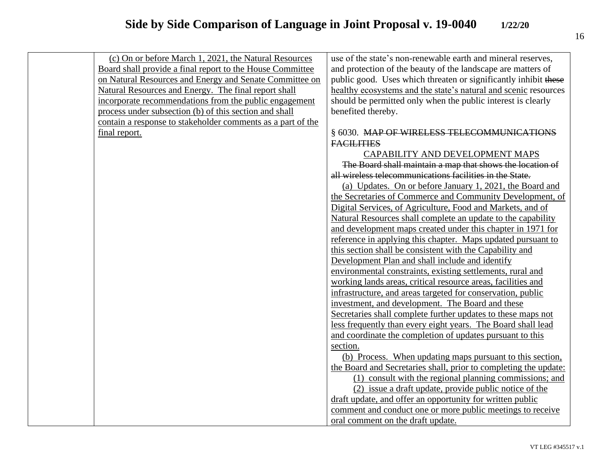| (c) On or before March 1, 2021, the Natural Resources       | use of the state's non-renewable earth and mineral reserves,     |
|-------------------------------------------------------------|------------------------------------------------------------------|
| Board shall provide a final report to the House Committee   | and protection of the beauty of the landscape are matters of     |
| on Natural Resources and Energy and Senate Committee on     | public good. Uses which threaten or significantly inhibit these  |
| Natural Resources and Energy. The final report shall        | healthy ecosystems and the state's natural and scenic resources  |
| incorporate recommendations from the public engagement      | should be permitted only when the public interest is clearly     |
| process under subsection (b) of this section and shall      | benefited thereby.                                               |
| contain a response to stakeholder comments as a part of the |                                                                  |
| final report.                                               | § 6030. MAP OF WIRELESS TELECOMMUNICATIONS                       |
|                                                             | <b>FACILITIES</b>                                                |
|                                                             | CAPABILITY AND DEVELOPMENT MAPS                                  |
|                                                             | The Board shall maintain a map that shows the location of        |
|                                                             | all wireless telecommunications facilities in the State.         |
|                                                             | (a) Updates. On or before January 1, 2021, the Board and         |
|                                                             | the Secretaries of Commerce and Community Development, of        |
|                                                             | Digital Services, of Agriculture, Food and Markets, and of       |
|                                                             | Natural Resources shall complete an update to the capability     |
|                                                             | and development maps created under this chapter in 1971 for      |
|                                                             | reference in applying this chapter. Maps updated pursuant to     |
|                                                             | this section shall be consistent with the Capability and         |
|                                                             | Development Plan and shall include and identify                  |
|                                                             | environmental constraints, existing settlements, rural and       |
|                                                             | working lands areas, critical resource areas, facilities and     |
|                                                             | infrastructure, and areas targeted for conservation, public      |
|                                                             | investment, and development. The Board and these                 |
|                                                             | Secretaries shall complete further updates to these maps not     |
|                                                             | less frequently than every eight years. The Board shall lead     |
|                                                             | and coordinate the completion of updates pursuant to this        |
|                                                             | section.                                                         |
|                                                             | (b) Process. When updating maps pursuant to this section,        |
|                                                             | the Board and Secretaries shall, prior to completing the update: |
|                                                             | (1) consult with the regional planning commissions; and          |
|                                                             | (2) issue a draft update, provide public notice of the           |
|                                                             | draft update, and offer an opportunity for written public        |
|                                                             | comment and conduct one or more public meetings to receive       |
|                                                             | oral comment on the draft update.                                |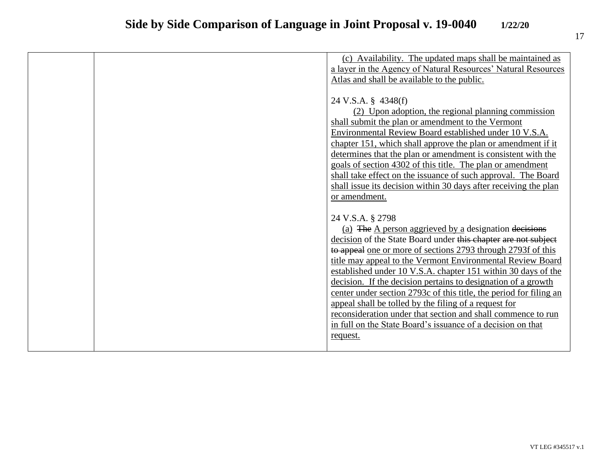|  | (c) Availability. The updated maps shall be maintained as          |
|--|--------------------------------------------------------------------|
|  | a layer in the Agency of Natural Resources' Natural Resources      |
|  | Atlas and shall be available to the public.                        |
|  |                                                                    |
|  | 24 V.S.A. § 4348(f)                                                |
|  | (2) Upon adoption, the regional planning commission                |
|  | shall submit the plan or amendment to the Vermont                  |
|  | Environmental Review Board established under 10 V.S.A.             |
|  | chapter 151, which shall approve the plan or amendment if it       |
|  | determines that the plan or amendment is consistent with the       |
|  | goals of section 4302 of this title. The plan or amendment         |
|  | shall take effect on the issuance of such approval. The Board      |
|  | shall issue its decision within 30 days after receiving the plan   |
|  | or amendment.                                                      |
|  |                                                                    |
|  | 24 V.S.A. § 2798                                                   |
|  | (a) The A person aggrieved by a designation decisions              |
|  | decision of the State Board under this chapter are not subject     |
|  | to appeal one or more of sections 2793 through 2793f of this       |
|  | title may appeal to the Vermont Environmental Review Board         |
|  | established under 10 V.S.A. chapter 151 within 30 days of the      |
|  | decision. If the decision pertains to designation of a growth      |
|  | center under section 2793c of this title, the period for filing an |
|  | appeal shall be tolled by the filing of a request for              |
|  | reconsideration under that section and shall commence to run       |
|  | in full on the State Board's issuance of a decision on that        |
|  | request.                                                           |
|  |                                                                    |
|  |                                                                    |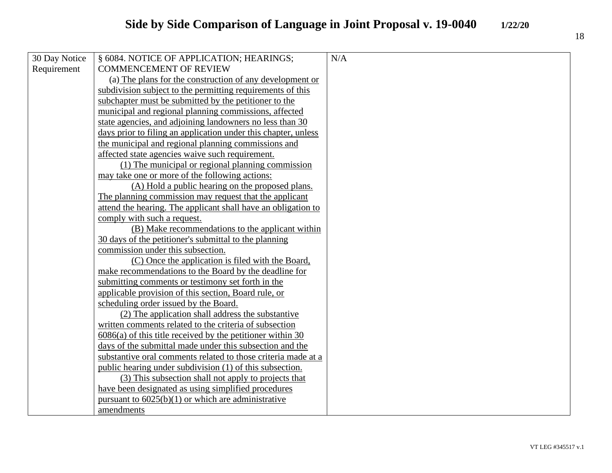| 30 Day Notice | § 6084. NOTICE OF APPLICATION; HEARINGS;                       | N/A |
|---------------|----------------------------------------------------------------|-----|
| Requirement   | <b>COMMENCEMENT OF REVIEW</b>                                  |     |
|               | (a) The plans for the construction of any development or       |     |
|               | subdivision subject to the permitting requirements of this     |     |
|               | subchapter must be submitted by the petitioner to the          |     |
|               | municipal and regional planning commissions, affected          |     |
|               | state agencies, and adjoining landowners no less than 30       |     |
|               | days prior to filing an application under this chapter, unless |     |
|               | the municipal and regional planning commissions and            |     |
|               | affected state agencies waive such requirement.                |     |
|               | (1) The municipal or regional planning commission              |     |
|               | may take one or more of the following actions:                 |     |
|               | (A) Hold a public hearing on the proposed plans.               |     |
|               | The planning commission may request that the applicant         |     |
|               | attend the hearing. The applicant shall have an obligation to  |     |
|               | comply with such a request.                                    |     |
|               | (B) Make recommendations to the applicant within               |     |
|               | 30 days of the petitioner's submittal to the planning          |     |
|               | commission under this subsection.                              |     |
|               | (C) Once the application is filed with the Board,              |     |
|               | make recommendations to the Board by the deadline for          |     |
|               | submitting comments or testimony set forth in the              |     |
|               | applicable provision of this section, Board rule, or           |     |
|               | scheduling order issued by the Board.                          |     |
|               | (2) The application shall address the substantive              |     |
|               | written comments related to the criteria of subsection         |     |
|               | $6086(a)$ of this title received by the petitioner within 30   |     |
|               | days of the submittal made under this subsection and the       |     |
|               | substantive oral comments related to those criteria made at a  |     |
|               | public hearing under subdivision (1) of this subsection.       |     |
|               | (3) This subsection shall not apply to projects that           |     |
|               | have been designated as using simplified procedures            |     |
|               | pursuant to $6025(b)(1)$ or which are administrative           |     |
|               | amendments                                                     |     |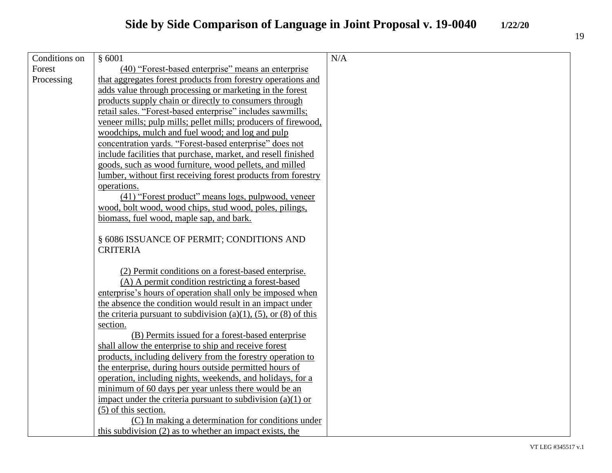| Conditions on | \$6001                                                           | N/A |
|---------------|------------------------------------------------------------------|-----|
| Forest        | (40) "Forest-based enterprise" means an enterprise               |     |
| Processing    | that aggregates forest products from forestry operations and     |     |
|               | adds value through processing or marketing in the forest         |     |
|               | products supply chain or directly to consumers through           |     |
|               | retail sales. "Forest-based enterprise" includes sawmills;       |     |
|               | veneer mills; pulp mills; pellet mills; producers of firewood,   |     |
|               | woodchips, mulch and fuel wood; and log and pulp                 |     |
|               | concentration yards. "Forest-based enterprise" does not          |     |
|               | include facilities that purchase, market, and resell finished    |     |
|               | goods, such as wood furniture, wood pellets, and milled          |     |
|               | lumber, without first receiving forest products from forestry    |     |
|               | operations.                                                      |     |
|               | (41) "Forest product" means logs, pulpwood, veneer               |     |
|               | wood, bolt wood, wood chips, stud wood, poles, pilings,          |     |
|               | biomass, fuel wood, maple sap, and bark.                         |     |
|               |                                                                  |     |
|               | § 6086 ISSUANCE OF PERMIT; CONDITIONS AND                        |     |
|               | <b>CRITERIA</b>                                                  |     |
|               |                                                                  |     |
|               | (2) Permit conditions on a forest-based enterprise.              |     |
|               | (A) A permit condition restricting a forest-based                |     |
|               | enterprise's hours of operation shall only be imposed when       |     |
|               | the absence the condition would result in an impact under        |     |
|               | the criteria pursuant to subdivision (a)(1), (5), or (8) of this |     |
|               | section.                                                         |     |
|               | (B) Permits issued for a forest-based enterprise                 |     |
|               | shall allow the enterprise to ship and receive forest            |     |
|               | products, including delivery from the forestry operation to      |     |
|               | the enterprise, during hours outside permitted hours of          |     |
|               | operation, including nights, weekends, and holidays, for a       |     |
|               | minimum of 60 days per year unless there would be an             |     |

impact under the criteria pursuant to subdivision (a)(1) or  $\overline{(5)}$  of this section. (C) In making a determination for conditions under

this subdivision (2) as to whether an impact exists, the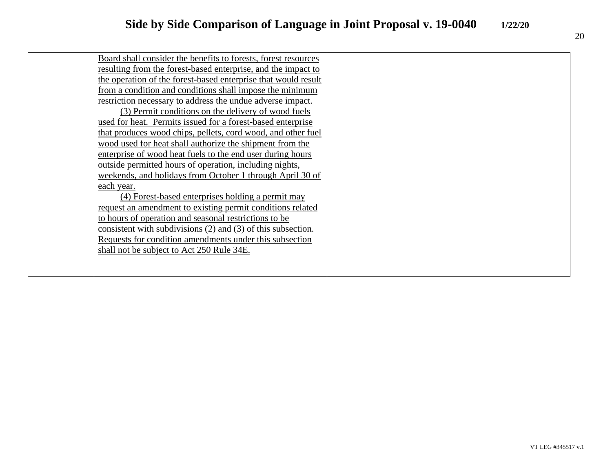| Board shall consider the benefits to forests, forest resources   |  |
|------------------------------------------------------------------|--|
| resulting from the forest-based enterprise, and the impact to    |  |
| the operation of the forest-based enterprise that would result   |  |
| from a condition and conditions shall impose the minimum         |  |
| restriction necessary to address the undue adverse impact.       |  |
| (3) Permit conditions on the delivery of wood fuels              |  |
| used for heat. Permits issued for a forest-based enterprise      |  |
| that produces wood chips, pellets, cord wood, and other fuel     |  |
| wood used for heat shall authorize the shipment from the         |  |
| enterprise of wood heat fuels to the end user during hours       |  |
| outside permitted hours of operation, including nights,          |  |
| weekends, and holidays from October 1 through April 30 of        |  |
| each year.                                                       |  |
| (4) Forest-based enterprises holding a permit may                |  |
| request an amendment to existing permit conditions related       |  |
| to hours of operation and seasonal restrictions to be            |  |
| consistent with subdivisions $(2)$ and $(3)$ of this subsection. |  |
| Requests for condition amendments under this subsection          |  |
| shall not be subject to Act 250 Rule 34E.                        |  |
|                                                                  |  |
|                                                                  |  |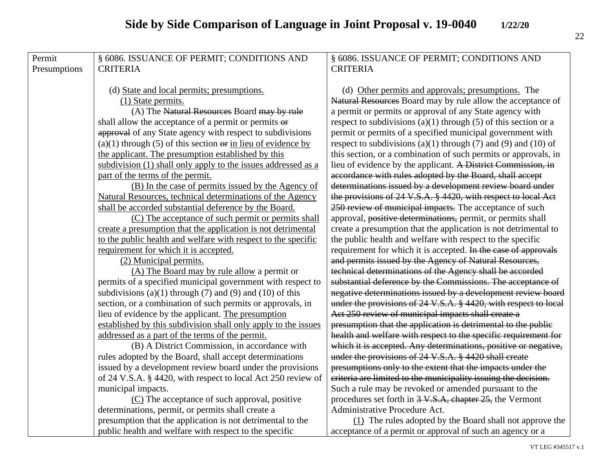| Permit       | § 6086. ISSUANCE OF PERMIT; CONDITIONS AND                           | § 6086. ISSUANCE OF PERMIT; CONDITIONS AND                          |
|--------------|----------------------------------------------------------------------|---------------------------------------------------------------------|
| Presumptions | <b>CRITERIA</b>                                                      | <b>CRITERIA</b>                                                     |
|              |                                                                      |                                                                     |
|              | (d) State and local permits; presumptions.                           | (d) Other permits and approvals; presumptions. The                  |
|              | (1) State permits.                                                   | Natural Resources Board may by rule allow the acceptance of         |
|              | (A) The Natural Resources Board may by rule                          | a permit or permits or approval of any State agency with            |
|              | shall allow the acceptance of a permit or permits or                 | respect to subdivisions $(a)(1)$ through $(5)$ of this section or a |
|              | approval of any State agency with respect to subdivisions            | permit or permits of a specified municipal government with          |
|              | $(a)(1)$ through (5) of this section $\Theta$ in lieu of evidence by | respect to subdivisions (a)(1) through (7) and (9) and (10) of      |
|              | the applicant. The presumption established by this                   | this section, or a combination of such permits or approvals, in     |
|              | subdivision (1) shall only apply to the issues addressed as a        | lieu of evidence by the applicant. A District Commission, in        |
|              | part of the terms of the permit.                                     | accordance with rules adopted by the Board, shall accept            |
|              | (B) In the case of permits issued by the Agency of                   | determinations issued by a development review board under           |
|              | Natural Resources, technical determinations of the Agency            | the provisions of 24 V.S.A. § 4420, with respect to local Act       |
|              | shall be accorded substantial deference by the Board.                | 250 review of municipal impacts. The acceptance of such             |
|              | (C) The acceptance of such permit or permits shall                   | approval, positive determinations, permit, or permits shall         |
|              | create a presumption that the application is not detrimental         | create a presumption that the application is not detrimental to     |
|              | to the public health and welfare with respect to the specific        | the public health and welfare with respect to the specific          |
|              | requirement for which it is accepted.                                | requirement for which it is accepted. In the case of approvals      |
|              | (2) Municipal permits.                                               | and permits issued by the Agency of Natural Resources,              |
|              | (A) The Board may by rule allow a permit or                          | technical determinations of the Agency shall be accorded            |
|              | permits of a specified municipal government with respect to          | substantial deference by the Commissions. The acceptance of         |
|              | subdivisions $(a)(1)$ through $(7)$ and $(9)$ and $(10)$ of this     | negative determinations issued by a development review board        |
|              | section, or a combination of such permits or approvals, in           | under the provisions of 24 V.S.A. § 4420, with respect to local     |
|              | lieu of evidence by the applicant. The presumption                   | Act 250 review of municipal impacts shall create a                  |
|              | established by this subdivision shall only apply to the issues       | presumption that the application is detrimental to the public       |
|              | addressed as a part of the terms of the permit.                      | health and welfare with respect to the specific requirement for     |
|              | (B) A District Commission, in accordance with                        | which it is accepted. Any determinations, positive or negative,     |
|              | rules adopted by the Board, shall accept determinations              | under the provisions of 24 V.S.A. § 4420 shall create               |
|              | issued by a development review board under the provisions            | presumptions only to the extent that the impacts under the          |
|              | of 24 V.S.A. § 4420, with respect to local Act 250 review of         | criteria are limited to the municipality issuing the decision.      |
|              | municipal impacts.                                                   | Such a rule may be revoked or amended pursuant to the               |
|              | (C) The acceptance of such approval, positive                        | procedures set forth in 3 V.S.A, chapter 25, the Vermont            |
|              | determinations, permit, or permits shall create a                    | Administrative Procedure Act.                                       |
|              | presumption that the application is not detrimental to the           | (1) The rules adopted by the Board shall not approve the            |
|              | public health and welfare with respect to the specific               | acceptance of a permit or approval of such an agency or a           |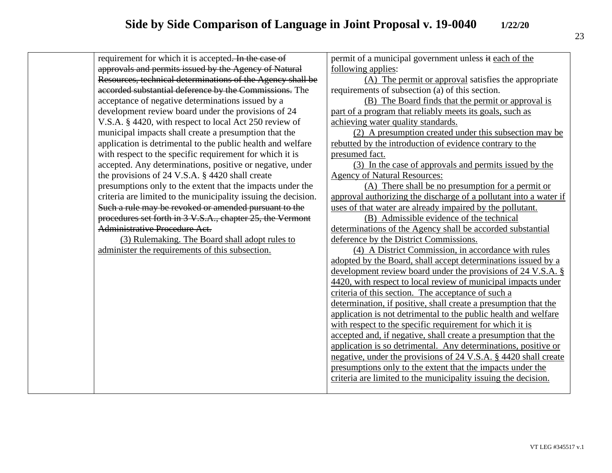| requirement for which it is accepted. In the case of           | permit of a municipal government unless it each of the            |
|----------------------------------------------------------------|-------------------------------------------------------------------|
| approvals and permits issued by the Agency of Natural          | following applies:                                                |
| Resources, technical determinations of the Agency shall be     | (A) The permit or approval satisfies the appropriate              |
| accorded substantial deference by the Commissions. The         | requirements of subsection (a) of this section.                   |
| acceptance of negative determinations issued by a              | (B) The Board finds that the permit or approval is                |
| development review board under the provisions of 24            | part of a program that reliably meets its goals, such as          |
| V.S.A. § 4420, with respect to local Act 250 review of         | achieving water quality standards.                                |
| municipal impacts shall create a presumption that the          | (2) A presumption created under this subsection may be            |
| application is detrimental to the public health and welfare    | rebutted by the introduction of evidence contrary to the          |
| with respect to the specific requirement for which it is       | presumed fact.                                                    |
| accepted. Any determinations, positive or negative, under      | (3) In the case of approvals and permits issued by the            |
| the provisions of 24 V.S.A. § 4420 shall create                | <b>Agency of Natural Resources:</b>                               |
| presumptions only to the extent that the impacts under the     | (A) There shall be no presumption for a permit or                 |
| criteria are limited to the municipality issuing the decision. | approval authorizing the discharge of a pollutant into a water if |
| Such a rule may be revoked or amended pursuant to the          | uses of that water are already impaired by the pollutant.         |
| procedures set forth in 3 V.S.A., chapter 25, the Vermont      | (B) Admissible evidence of the technical                          |
| Administrative Procedure Act.                                  | determinations of the Agency shall be accorded substantial        |
| (3) Rulemaking. The Board shall adopt rules to                 | deference by the District Commissions.                            |
| administer the requirements of this subsection.                | (4) A District Commission, in accordance with rules               |
|                                                                | adopted by the Board, shall accept determinations issued by a     |
|                                                                | development review board under the provisions of 24 V.S.A. §      |
|                                                                | 4420, with respect to local review of municipal impacts under     |
|                                                                | criteria of this section. The acceptance of such a                |
|                                                                | determination, if positive, shall create a presumption that the   |
|                                                                | application is not detrimental to the public health and welfare   |
|                                                                | with respect to the specific requirement for which it is          |
|                                                                | accepted and, if negative, shall create a presumption that the    |
|                                                                | application is so detrimental. Any determinations, positive or    |
|                                                                | negative, under the provisions of 24 V.S.A. § 4420 shall create   |
|                                                                | presumptions only to the extent that the impacts under the        |
|                                                                | criteria are limited to the municipality issuing the decision.    |
|                                                                |                                                                   |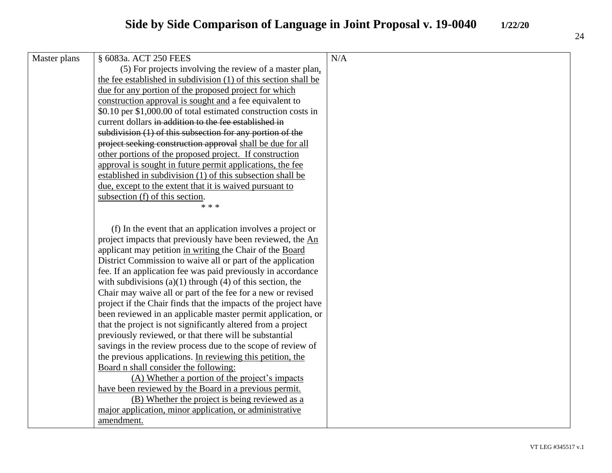| Master plans | § 6083a. ACT 250 FEES                                           | N/A |
|--------------|-----------------------------------------------------------------|-----|
|              | (5) For projects involving the review of a master plan.         |     |
|              | the fee established in subdivision (1) of this section shall be |     |
|              | due for any portion of the proposed project for which           |     |
|              | construction approval is sought and a fee equivalent to         |     |
|              | \$0.10 per \$1,000.00 of total estimated construction costs in  |     |
|              | current dollars in addition to the fee established in           |     |
|              | subdivision $(1)$ of this subsection for any portion of the     |     |
|              | project seeking construction approval shall be due for all      |     |
|              | other portions of the proposed project. If construction         |     |
|              | approval is sought in future permit applications, the fee       |     |
|              | established in subdivision (1) of this subsection shall be      |     |
|              | due, except to the extent that it is waived pursuant to         |     |
|              | subsection (f) of this section.                                 |     |
|              | * * *                                                           |     |
|              |                                                                 |     |
|              | (f) In the event that an application involves a project or      |     |
|              | project impacts that previously have been reviewed, the An      |     |
|              | applicant may petition in writing the Chair of the Board        |     |
|              | District Commission to waive all or part of the application     |     |
|              | fee. If an application fee was paid previously in accordance    |     |
|              | with subdivisions $(a)(1)$ through $(4)$ of this section, the   |     |
|              | Chair may waive all or part of the fee for a new or revised     |     |
|              | project if the Chair finds that the impacts of the project have |     |
|              | been reviewed in an applicable master permit application, or    |     |
|              | that the project is not significantly altered from a project    |     |
|              | previously reviewed, or that there will be substantial          |     |
|              | savings in the review process due to the scope of review of     |     |
|              | the previous applications. In reviewing this petition, the      |     |
|              | Board n shall consider the following:                           |     |
|              | (A) Whether a portion of the project's impacts                  |     |
|              | have been reviewed by the Board in a previous permit.           |     |
|              | (B) Whether the project is being reviewed as a                  |     |
|              | major application, minor application, or administrative         |     |
|              | amendment.                                                      |     |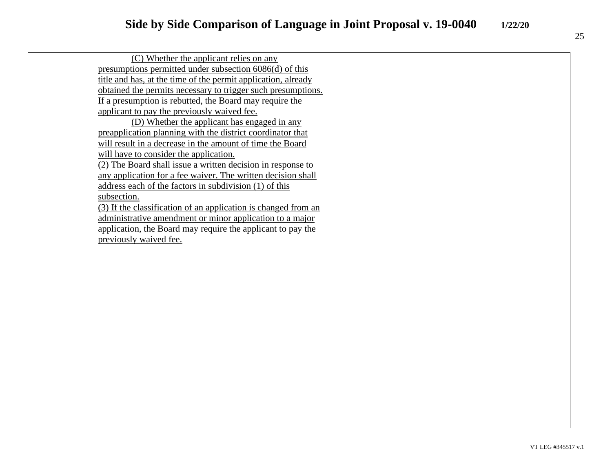| (C) Whether the applicant relies on any                        |  |
|----------------------------------------------------------------|--|
| presumptions permitted under subsection 6086(d) of this        |  |
| title and has, at the time of the permit application, already  |  |
| obtained the permits necessary to trigger such presumptions.   |  |
| If a presumption is rebutted, the Board may require the        |  |
| applicant to pay the previously waived fee.                    |  |
| (D) Whether the applicant has engaged in any                   |  |
| preapplication planning with the district coordinator that     |  |
| will result in a decrease in the amount of time the Board      |  |
| will have to consider the application.                         |  |
| (2) The Board shall issue a written decision in response to    |  |
| any application for a fee waiver. The written decision shall   |  |
| address each of the factors in subdivision (1) of this         |  |
| subsection.                                                    |  |
| (3) If the classification of an application is changed from an |  |
| administrative amendment or minor application to a major       |  |
| application, the Board may require the applicant to pay the    |  |
| previously waived fee.                                         |  |
|                                                                |  |
|                                                                |  |
|                                                                |  |
|                                                                |  |
|                                                                |  |
|                                                                |  |
|                                                                |  |
|                                                                |  |
|                                                                |  |
|                                                                |  |
|                                                                |  |
|                                                                |  |
|                                                                |  |
|                                                                |  |
|                                                                |  |
|                                                                |  |
|                                                                |  |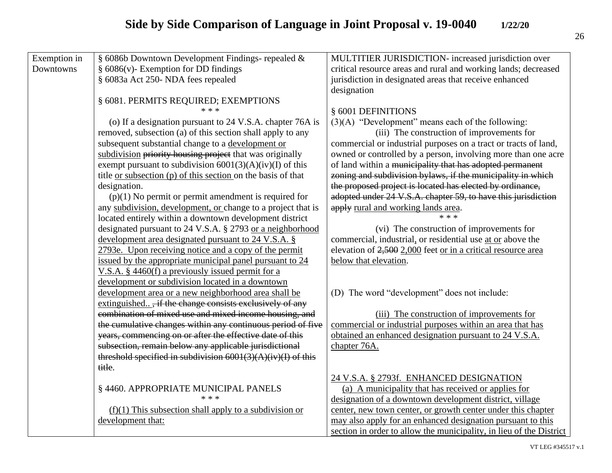| Exemption in | § 6086b Downtown Development Findings- repealed &                   | MULTITIER JURISDICTION- increased jurisdiction over                 |
|--------------|---------------------------------------------------------------------|---------------------------------------------------------------------|
| Downtowns    | $§$ 6086(v)- Exemption for DD findings                              | critical resource areas and rural and working lands; decreased      |
|              | § 6083a Act 250- NDA fees repealed                                  | jurisdiction in designated areas that receive enhanced              |
|              |                                                                     | designation                                                         |
|              | § 6081. PERMITS REQUIRED; EXEMPTIONS                                |                                                                     |
|              | $* * *$                                                             | § 6001 DEFINITIONS                                                  |
|              | (o) If a designation pursuant to 24 V.S.A. chapter 76A is           | $(3)(A)$ "Development" means each of the following:                 |
|              | removed, subsection (a) of this section shall apply to any          | (iii) The construction of improvements for                          |
|              | subsequent substantial change to a development or                   | commercial or industrial purposes on a tract or tracts of land,     |
|              | subdivision priority housing project that was originally            | owned or controlled by a person, involving more than one acre       |
|              | exempt pursuant to subdivision $6001(3)(A)(iv)(I)$ of this          | of land within a municipality that has adopted permanent            |
|              | title <u>or subsection</u> (p) of this section on the basis of that | zoning and subdivision bylaws, if the municipality in which         |
|              | designation.                                                        | the proposed project is located has elected by ordinance,           |
|              | $(p)(1)$ No permit or permit amendment is required for              | adopted under 24 V.S.A. chapter 59, to have this jurisdiction       |
|              | any subdivision, development, or change to a project that is        | apply rural and working lands area.                                 |
|              | located entirely within a downtown development district             | $**$ *                                                              |
|              | designated pursuant to 24 V.S.A. § 2793 or a neighborhood           | (vi) The construction of improvements for                           |
|              | development area designated pursuant to 24 V.S.A. §                 | commercial, industrial, or residential use at or above the          |
|              | 2793e. Upon receiving notice and a copy of the permit               | elevation of 2,500 2,000 feet or in a critical resource area        |
|              | issued by the appropriate municipal panel pursuant to 24            | below that elevation.                                               |
|              | V.S.A. $\S$ 4460(f) a previously issued permit for a                |                                                                     |
|              | development or subdivision located in a downtown                    |                                                                     |
|              | development area or a new neighborhood area shall be                | (D) The word "development" does not include:                        |
|              | extinguished, if the change consists exclusively of any             |                                                                     |
|              | combination of mixed use and mixed income housing, and              | (iii) The construction of improvements for                          |
|              | the cumulative changes within any continuous period of five         | commercial or industrial purposes within an area that has           |
|              | years, commencing on or after the effective date of this            | obtained an enhanced designation pursuant to 24 V.S.A.              |
|              | subsection, remain below any applicable jurisdictional              | chapter 76A.                                                        |
|              | threshold specified in subdivision $6001(3)(A)(iv)(I)$ of this      |                                                                     |
|              | title.                                                              |                                                                     |
|              |                                                                     | 24 V.S.A. § 2793f. ENHANCED DESIGNATION                             |
|              | § 4460. APPROPRIATE MUNICIPAL PANELS                                | (a) A municipality that has received or applies for                 |
|              | $* * *$                                                             | designation of a downtown development district, village             |
|              | $(f)(1)$ This subsection shall apply to a subdivision or            | center, new town center, or growth center under this chapter        |
|              | development that:                                                   | may also apply for an enhanced designation pursuant to this         |
|              |                                                                     | section in order to allow the municipality, in lieu of the District |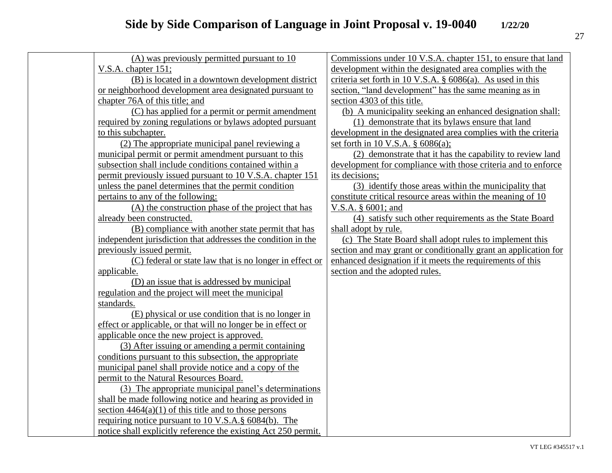| (A) was previously permitted pursuant to 10                    | Commissions under 10 V.S.A. chapter 151, to ensure that land    |
|----------------------------------------------------------------|-----------------------------------------------------------------|
| V.S.A. chapter 151;                                            | development within the designated area complies with the        |
| (B) is located in a downtown development district              | criteria set forth in 10 V.S.A. $\S$ 6086(a). As used in this   |
| or neighborhood development area designated pursuant to        | section, "land development" has the same meaning as in          |
| chapter 76A of this title; and                                 | section 4303 of this title.                                     |
| (C) has applied for a permit or permit amendment               | (b) A municipality seeking an enhanced designation shall:       |
| required by zoning regulations or bylaws adopted pursuant      | (1) demonstrate that its by laws ensure that land               |
| to this subchapter.                                            | development in the designated area complies with the criteria   |
| (2) The appropriate municipal panel reviewing a                | set forth in 10 V.S.A. $\S$ 6086(a);                            |
| municipal permit or permit amendment pursuant to this          | (2) demonstrate that it has the capability to review land       |
| subsection shall include conditions contained within a         | development for compliance with those criteria and to enforce   |
| permit previously issued pursuant to 10 V.S.A. chapter 151     | its decisions;                                                  |
| unless the panel determines that the permit condition          | (3) identify those areas within the municipality that           |
| pertains to any of the following:                              | constitute critical resource areas within the meaning of 10     |
| (A) the construction phase of the project that has             | V.S.A. § 6001; and                                              |
| already been constructed.                                      | (4) satisfy such other requirements as the State Board          |
| (B) compliance with another state permit that has              | shall adopt by rule.                                            |
| independent jurisdiction that addresses the condition in the   | (c) The State Board shall adopt rules to implement this         |
| previously issued permit.                                      | section and may grant or conditionally grant an application for |
| (C) federal or state law that is no longer in effect or        | enhanced designation if it meets the requirements of this       |
| applicable.                                                    | section and the adopted rules.                                  |
| (D) an issue that is addressed by municipal                    |                                                                 |
| regulation and the project will meet the municipal             |                                                                 |
| standards.                                                     |                                                                 |
| (E) physical or use condition that is no longer in             |                                                                 |
| effect or applicable, or that will no longer be in effect or   |                                                                 |
| applicable once the new project is approved.                   |                                                                 |
| (3) After issuing or amending a permit containing              |                                                                 |
| conditions pursuant to this subsection, the appropriate        |                                                                 |
| municipal panel shall provide notice and a copy of the         |                                                                 |
| permit to the Natural Resources Board.                         |                                                                 |
| (3) The appropriate municipal panel's determinations           |                                                                 |
| shall be made following notice and hearing as provided in      |                                                                 |
| section $4464(a)(1)$ of this title and to those persons        |                                                                 |
| requiring notice pursuant to 10 V.S.A. § 6084(b). The          |                                                                 |
| notice shall explicitly reference the existing Act 250 permit. |                                                                 |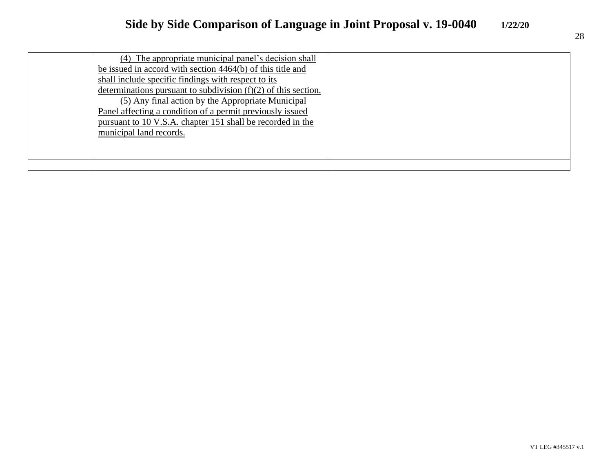| (4) The appropriate municipal panel's decision shall             |  |
|------------------------------------------------------------------|--|
| be issued in accord with section 4464(b) of this title and       |  |
| shall include specific findings with respect to its              |  |
| determinations pursuant to subdivision $(f)(2)$ of this section. |  |
| (5) Any final action by the Appropriate Municipal                |  |
| Panel affecting a condition of a permit previously issued        |  |
| pursuant to 10 V.S.A. chapter 151 shall be recorded in the       |  |
| municipal land records.                                          |  |
|                                                                  |  |
|                                                                  |  |
|                                                                  |  |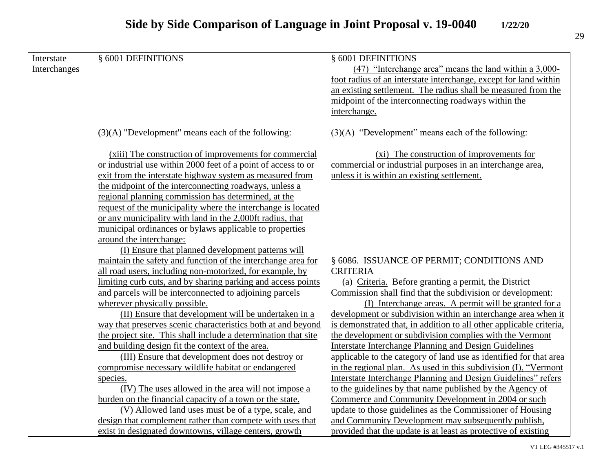|  | ۰.<br>× |
|--|---------|

| Interstate   | § 6001 DEFINITIONS                                             | § 6001 DEFINITIONS                                                  |
|--------------|----------------------------------------------------------------|---------------------------------------------------------------------|
| Interchanges |                                                                | (47) "Interchange area" means the land within a 3,000-              |
|              |                                                                | foot radius of an interstate interchange, except for land within    |
|              |                                                                | an existing settlement. The radius shall be measured from the       |
|              |                                                                | midpoint of the interconnecting roadways within the                 |
|              |                                                                | interchange.                                                        |
|              |                                                                |                                                                     |
|              | $(3)(A)$ "Development" means each of the following:            | $(3)(A)$ "Development" means each of the following:                 |
|              | (xiii) The construction of improvements for commercial         | (xi) The construction of improvements for                           |
|              | or industrial use within 2000 feet of a point of access to or  | commercial or industrial purposes in an interchange area,           |
|              | exit from the interstate highway system as measured from       | unless it is within an existing settlement.                         |
|              | the midpoint of the interconnecting roadways, unless a         |                                                                     |
|              | regional planning commission has determined, at the            |                                                                     |
|              | request of the municipality where the interchange is located   |                                                                     |
|              | or any municipality with land in the 2,000ft radius, that      |                                                                     |
|              | municipal ordinances or bylaws applicable to properties        |                                                                     |
|              | around the interchange:                                        |                                                                     |
|              | (I) Ensure that planned development patterns will              |                                                                     |
|              | maintain the safety and function of the interchange area for   | § 6086. ISSUANCE OF PERMIT; CONDITIONS AND                          |
|              | all road users, including non-motorized, for example, by       | <b>CRITERIA</b>                                                     |
|              | limiting curb cuts, and by sharing parking and access points   | (a) Criteria. Before granting a permit, the District                |
|              | and parcels will be interconnected to adjoining parcels        | Commission shall find that the subdivision or development:          |
|              | wherever physically possible.                                  | (I) Interchange areas. A permit will be granted for a               |
|              | (II) Ensure that development will be undertaken in a           | development or subdivision within an interchange area when it       |
|              | way that preserves scenic characteristics both at and beyond   | is demonstrated that, in addition to all other applicable criteria, |
|              | the project site. This shall include a determination that site | the development or subdivision complies with the Vermont            |
|              | and building design fit the context of the area.               | <b>Interstate Interchange Planning and Design Guidelines</b>        |
|              | (III) Ensure that development does not destroy or              | applicable to the category of land use as identified for that area  |
|              | compromise necessary wildlife habitat or endangered            | in the regional plan. As used in this subdivision (I), "Vermont     |
|              | species.                                                       | Interstate Interchange Planning and Design Guidelines" refers       |
|              | (IV) The uses allowed in the area will not impose a            | to the guidelines by that name published by the Agency of           |
|              | burden on the financial capacity of a town or the state.       | Commerce and Community Development in 2004 or such                  |
|              | (V) Allowed land uses must be of a type, scale, and            | update to those guidelines as the Commissioner of Housing           |
|              | design that complement rather than compete with uses that      | and Community Development may subsequently publish,                 |
|              | exist in designated downtowns, village centers, growth         | provided that the update is at least as protective of existing      |
|              |                                                                |                                                                     |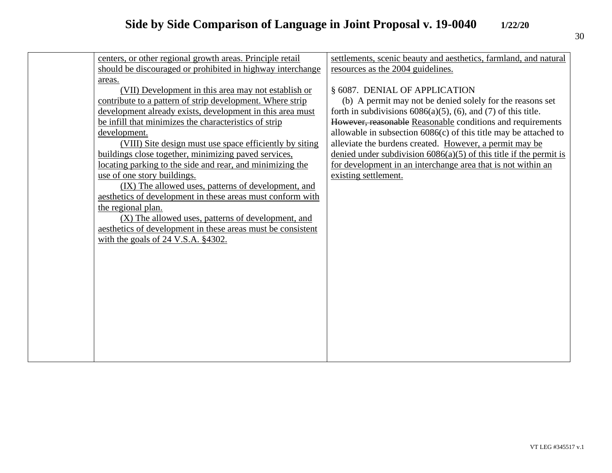| centers, or other regional growth areas. Principle retail   | settlements, scenic beauty and aesthetics, farmland, and natural      |
|-------------------------------------------------------------|-----------------------------------------------------------------------|
| should be discouraged or prohibited in highway interchange  | resources as the 2004 guidelines.                                     |
| areas.                                                      |                                                                       |
| (VII) Development in this area may not establish or         | § 6087. DENIAL OF APPLICATION                                         |
| contribute to a pattern of strip development. Where strip   | (b) A permit may not be denied solely for the reasons set             |
| development already exists, development in this area must   | forth in subdivisions $6086(a)(5)$ , $(6)$ , and $(7)$ of this title. |
| be infill that minimizes the characteristics of strip       |                                                                       |
|                                                             | However, reasonable Reasonable conditions and requirements            |
| development.                                                | allowable in subsection 6086(c) of this title may be attached to      |
| (VIII) Site design must use space efficiently by siting     | alleviate the burdens created. However, a permit may be               |
| buildings close together, minimizing paved services,        | denied under subdivision $6086(a)(5)$ of this title if the permit is  |
| locating parking to the side and rear, and minimizing the   | for development in an interchange area that is not within an          |
| use of one story buildings.                                 | existing settlement.                                                  |
| (IX) The allowed uses, patterns of development, and         |                                                                       |
| aesthetics of development in these areas must conform with  |                                                                       |
| the regional plan.                                          |                                                                       |
| (X) The allowed uses, patterns of development, and          |                                                                       |
| aesthetics of development in these areas must be consistent |                                                                       |
| with the goals of $24$ V.S.A. $§4302$ .                     |                                                                       |
|                                                             |                                                                       |
|                                                             |                                                                       |
|                                                             |                                                                       |
|                                                             |                                                                       |
|                                                             |                                                                       |
|                                                             |                                                                       |
|                                                             |                                                                       |
|                                                             |                                                                       |
|                                                             |                                                                       |
|                                                             |                                                                       |
|                                                             |                                                                       |
|                                                             |                                                                       |